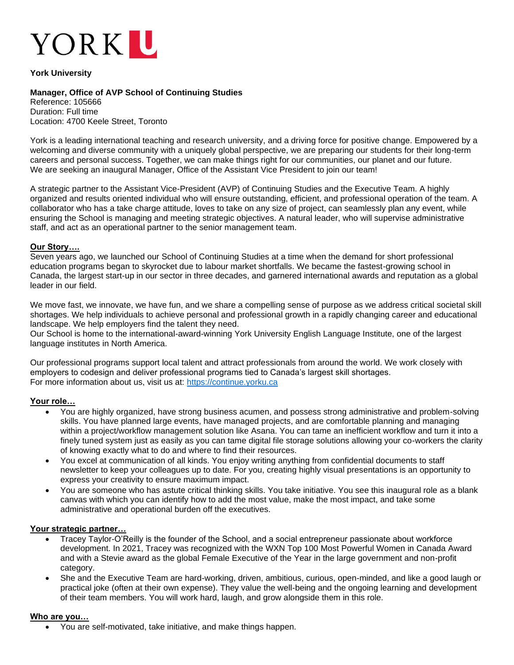

## **York University**

# **Manager, Office of AVP School of Continuing Studies**

Reference: 105666 Duration: Full time Location: 4700 Keele Street, Toronto

York is a leading international teaching and research university, and a driving force for positive change. Empowered by a welcoming and diverse community with a uniquely global perspective, we are preparing our students for their long-term careers and personal success. Together, we can make things right for our communities, our planet and our future. We are seeking an inaugural Manager, Office of the Assistant Vice President to join our team!

A strategic partner to the Assistant Vice-President (AVP) of Continuing Studies and the Executive Team. A highly organized and results oriented individual who will ensure outstanding, efficient, and professional operation of the team. A collaborator who has a take charge attitude, loves to take on any size of project, can seamlessly plan any event, while ensuring the School is managing and meeting strategic objectives. A natural leader, who will supervise administrative staff, and act as an operational partner to the senior management team.

### **Our Story….**

Seven years ago, we launched our School of Continuing Studies at a time when the demand for short professional education programs began to skyrocket due to labour market shortfalls. We became the fastest-growing school in Canada, the largest start-up in our sector in three decades, and garnered international awards and reputation as a global leader in our field.

We move fast, we innovate, we have fun, and we share a compelling sense of purpose as we address critical societal skill shortages. We help individuals to achieve personal and professional growth in a rapidly changing career and educational landscape. We help employers find the talent they need.

Our School is home to the international-award-winning York University English Language Institute, one of the largest language institutes in North America.

Our professional programs support local talent and attract professionals from around the world. We work closely with employers to codesign and deliver professional programs tied to Canada's largest skill shortages. For more information about us, visit us at: [https://continue.yorku.ca](https://continue.yorku.ca/)

### **Your role…**

- You are highly organized, have strong business acumen, and possess strong administrative and problem-solving skills. You have planned large events, have managed projects, and are comfortable planning and managing within a project/workflow management solution like Asana. You can tame an inefficient workflow and turn it into a finely tuned system just as easily as you can tame digital file storage solutions allowing your co-workers the clarity of knowing exactly what to do and where to find their resources.
- You excel at communication of all kinds. You enjoy writing anything from confidential documents to staff newsletter to keep your colleagues up to date. For you, creating highly visual presentations is an opportunity to express your creativity to ensure maximum impact.
- You are someone who has astute critical thinking skills. You take initiative. You see this inaugural role as a blank canvas with which you can identify how to add the most value, make the most impact, and take some administrative and operational burden off the executives.

#### **Your strategic partner…**

- Tracey Taylor-O'Reilly is the founder of the School, and a social entrepreneur passionate about workforce development. In 2021, Tracey was recognized with the WXN Top 100 Most Powerful Women in Canada Award and with a Stevie award as the global Female Executive of the Year in the large government and non-profit category.
- She and the Executive Team are hard-working, driven, ambitious, curious, open-minded, and like a good laugh or practical joke (often at their own expense). They value the well-being and the ongoing learning and development of their team members. You will work hard, laugh, and grow alongside them in this role.

#### **Who are you…**

• You are self-motivated, take initiative, and make things happen.